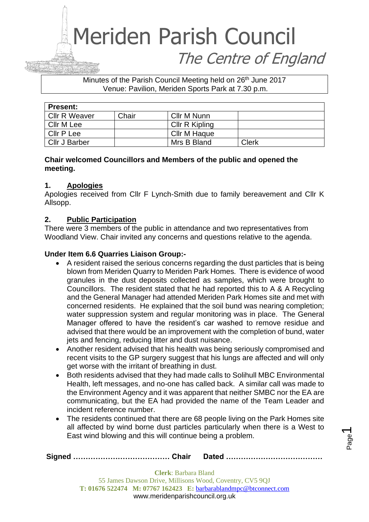# Meriden Parish Council The Centre of England

Minutes of the Parish Council Meeting held on 26<sup>th</sup> June 2017 Venue: Pavilion, Meriden Sports Park at 7.30 p.m.

| <b>Present:</b> |       |                |              |
|-----------------|-------|----------------|--------------|
| Cllr R Weaver   | Chair | Cllr M Nunn    |              |
| Cllr M Lee      |       | Cllr R Kipling |              |
| Cllr P Lee      |       | Cllr M Haque   |              |
| Cllr J Barber   |       | Mrs B Bland    | <b>Clerk</b> |

## **Chair welcomed Councillors and Members of the public and opened the meeting.**

## **1. Apologies**

Apologies received from Cllr F Lynch-Smith due to family bereavement and Cllr K Allsopp.

## **2. Public Participation**

There were 3 members of the public in attendance and two representatives from Woodland View. Chair invited any concerns and questions relative to the agenda.

## **Under Item 6.6 Quarries Liaison Group:-**

- A resident raised the serious concerns regarding the dust particles that is being blown from Meriden Quarry to Meriden Park Homes. There is evidence of wood granules in the dust deposits collected as samples, which were brought to Councillors. The resident stated that he had reported this to A & A Recycling and the General Manager had attended Meriden Park Homes site and met with concerned residents. He explained that the soil bund was nearing completion; water suppression system and regular monitoring was in place. The General Manager offered to have the resident's car washed to remove residue and advised that there would be an improvement with the completion of bund, water jets and fencing, reducing litter and dust nuisance.
- Another resident advised that his health was being seriously compromised and recent visits to the GP surgery suggest that his lungs are affected and will only get worse with the irritant of breathing in dust.
- Both residents advised that they had made calls to Solihull MBC Environmental Health, left messages, and no-one has called back. A similar call was made to the Environment Agency and it was apparent that neither SMBC nor the EA are communicating, but the EA had provided the name of the Team Leader and incident reference number.
- The residents continued that there are 68 people living on the Park Homes site all affected by wind borne dust particles particularly when there is a West to East wind blowing and this will continue being a problem.

|  | <b>Clerk:</b> Barbara Bland     |                                                                  |  |
|--|---------------------------------|------------------------------------------------------------------|--|
|  |                                 | 55 James Dawson Drive, Millisons Wood, Coventry, CV5 9QJ         |  |
|  |                                 | T: 01676 522474 M: 07767 162423 E: barbarablandmpc@btconnect.com |  |
|  | www.meridenparishcouncil.org.uk |                                                                  |  |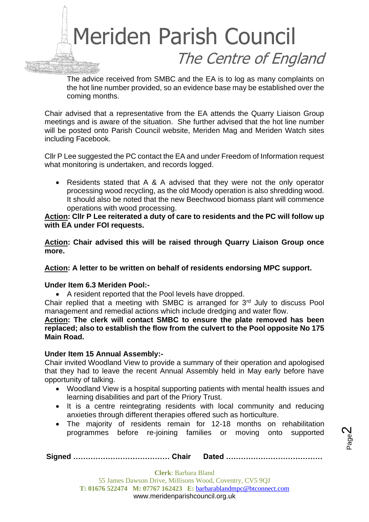

The advice received from SMBC and the EA is to log as many complaints on the hot line number provided, so an evidence base may be established over the coming months.

Chair advised that a representative from the EA attends the Quarry Liaison Group meetings and is aware of the situation. She further advised that the hot line number will be posted onto Parish Council website, Meriden Mag and Meriden Watch sites including Facebook.

Cllr P Lee suggested the PC contact the EA and under Freedom of Information request what monitoring is undertaken, and records logged.

• Residents stated that A & A advised that they were not the only operator processing wood recycling, as the old Moody operation is also shredding wood. It should also be noted that the new Beechwood biomass plant will commence operations with wood processing.

#### **Action: Cllr P Lee reiterated a duty of care to residents and the PC will follow up with EA under FOI requests.**

**Action: Chair advised this will be raised through Quarry Liaison Group once more.**

#### **Action: A letter to be written on behalf of residents endorsing MPC support.**

#### **Under Item 6.3 Meriden Pool:-**

• A resident reported that the Pool levels have dropped.

Chair replied that a meeting with SMBC is arranged for 3rd July to discuss Pool management and remedial actions which include dredging and water flow.

**Action: The clerk will contact SMBC to ensure the plate removed has been replaced; also to establish the flow from the culvert to the Pool opposite No 175 Main Road.**

#### **Under Item 15 Annual Assembly:-**

Chair invited Woodland View to provide a summary of their operation and apologised that they had to leave the recent Annual Assembly held in May early before have opportunity of talking.

- Woodland View is a hospital supporting patients with mental health issues and learning disabilities and part of the Priory Trust.
- It is a centre reintegrating residents with local community and reducing anxieties through different therapies offered such as horticulture.
- The majority of residents remain for 12-18 months on rehabilitation programmes before re-joining families or moving onto supported

Page  $\boldsymbol{\sim}$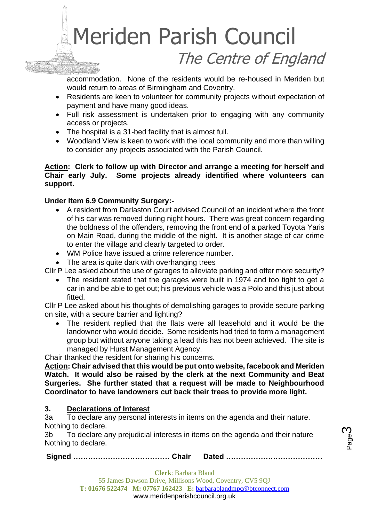

accommodation. None of the residents would be re-housed in Meriden but would return to areas of Birmingham and Coventry.

- Residents are keen to volunteer for community projects without expectation of payment and have many good ideas.
- Full risk assessment is undertaken prior to engaging with any community access or projects.
- The hospital is a 31-bed facility that is almost full.
- Woodland View is keen to work with the local community and more than willing to consider any projects associated with the Parish Council.

#### **Action: Clerk to follow up with Director and arrange a meeting for herself and Chair early July. Some projects already identified where volunteers can support.**

## **Under Item 6.9 Community Surgery:-**

- A resident from Darlaston Court advised Council of an incident where the front of his car was removed during night hours. There was great concern regarding the boldness of the offenders, removing the front end of a parked Toyota Yaris on Main Road, during the middle of the night. It is another stage of car crime to enter the village and clearly targeted to order.
- WM Police have issued a crime reference number.
- The area is quite dark with overhanging trees

Cllr P Lee asked about the use of garages to alleviate parking and offer more security?

• The resident stated that the garages were built in 1974 and too tight to get a car in and be able to get out; his previous vehicle was a Polo and this just about fitted.

Cllr P Lee asked about his thoughts of demolishing garages to provide secure parking on site, with a secure barrier and lighting?

• The resident replied that the flats were all leasehold and it would be the landowner who would decide. Some residents had tried to form a management group but without anyone taking a lead this has not been achieved. The site is managed by Hurst Management Agency.

Chair thanked the resident for sharing his concerns.

**Action: Chair advised that this would be put onto website, facebook and Meriden Watch. It would also be raised by the clerk at the next Community and Beat Surgeries. She further stated that a request will be made to Neighbourhood Coordinator to have landowners cut back their trees to provide more light.**

## **3. Declarations of Interest**

3a To declare any personal interests in items on the agenda and their nature. Nothing to declare.

3b To declare any prejudicial interests in items on the agenda and their nature Nothing to declare.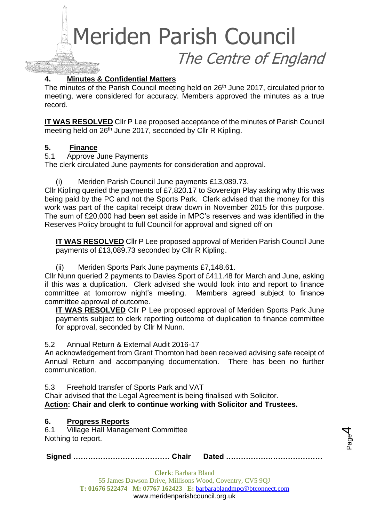Meriden Parish Council

The Centre of England

Page 4

**4. Minutes & Confidential Matters**

The minutes of the Parish Council meeting held on 26<sup>th</sup> June 2017, circulated prior to meeting, were considered for accuracy. Members approved the minutes as a true record.

**IT WAS RESOLVED** Cllr P Lee proposed acceptance of the minutes of Parish Council meeting held on 26<sup>th</sup> June 2017, seconded by Cllr R Kipling.

## **5. Finance**

5.1 Approve June Payments

The clerk circulated June payments for consideration and approval.

(i) Meriden Parish Council June payments £13,089.73.

Cllr Kipling queried the payments of £7,820.17 to Sovereign Play asking why this was being paid by the PC and not the Sports Park. Clerk advised that the money for this work was part of the capital receipt draw down in November 2015 for this purpose. The sum of £20,000 had been set aside in MPC's reserves and was identified in the Reserves Policy brought to full Council for approval and signed off on

**IT WAS RESOLVED** Cllr P Lee proposed approval of Meriden Parish Council June payments of £13,089.73 seconded by Cllr R Kipling.

(ii) Meriden Sports Park June payments £7,148.61.

Cllr Nunn queried 2 payments to Davies Sport of £411.48 for March and June, asking if this was a duplication. Clerk advised she would look into and report to finance committee at tomorrow night's meeting. Members agreed subject to finance committee approval of outcome.

**IT WAS RESOLVED** Cllr P Lee proposed approval of Meriden Sports Park June payments subject to clerk reporting outcome of duplication to finance committee for approval, seconded by Cllr M Nunn.

## 5.2 Annual Return & External Audit 2016-17

An acknowledgement from Grant Thornton had been received advising safe receipt of Annual Return and accompanying documentation. There has been no further communication.

5.3 Freehold transfer of Sports Park and VAT

Chair advised that the Legal Agreement is being finalised with Solicitor. **Action: Chair and clerk to continue working with Solicitor and Trustees.**

## **6. Progress Reports**

6.1 Village Hall Management Committee Nothing to report.

**Signed ………………………………… Chair Dated …………………………………**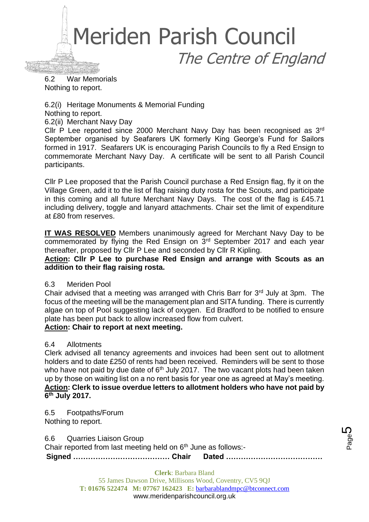

6.2 War Memorials Nothing to report.

6.2(i) Heritage Monuments & Memorial Funding

Nothing to report.

6.2(ii) Merchant Navy Day

Cllr P Lee reported since 2000 Merchant Navy Day has been recognised as 3rd September organised by Seafarers UK formerly King George's Fund for Sailors formed in 1917. Seafarers UK is encouraging Parish Councils to fly a Red Ensign to commemorate Merchant Navy Day. A certificate will be sent to all Parish Council participants.

Cllr P Lee proposed that the Parish Council purchase a Red Ensign flag, fly it on the Village Green, add it to the list of flag raising duty rosta for the Scouts, and participate in this coming and all future Merchant Navy Days. The cost of the flag is £45.71 including delivery, toggle and lanyard attachments. Chair set the limit of expenditure at £80 from reserves.

**IT WAS RESOLVED** Members unanimously agreed for Merchant Navy Day to be commemorated by flying the Red Ensign on 3rd September 2017 and each year thereafter, proposed by Cllr P Lee and seconded by Cllr R Kipling.

**Action: Cllr P Lee to purchase Red Ensign and arrange with Scouts as an addition to their flag raising rosta.**

## 6.3 Meriden Pool

Chair advised that a meeting was arranged with Chris Barr for 3rd July at 3pm. The focus of the meeting will be the management plan and SITA funding. There is currently algae on top of Pool suggesting lack of oxygen. Ed Bradford to be notified to ensure plate has been put back to allow increased flow from culvert.

## **Action: Chair to report at next meeting.**

## 6.4 Allotments

Clerk advised all tenancy agreements and invoices had been sent out to allotment holders and to date £250 of rents had been received. Reminders will be sent to those who have not paid by due date of  $6<sup>th</sup>$  July 2017. The two vacant plots had been taken up by those on waiting list on a no rent basis for year one as agreed at May's meeting. **Action: Clerk to issue overdue letters to allotment holders who have not paid by 6 th July 2017.**

6.5 Footpaths/Forum Nothing to report.

6.6 Quarries Liaison Group

Chair reported from last meeting held on 6<sup>th</sup> June as follows:-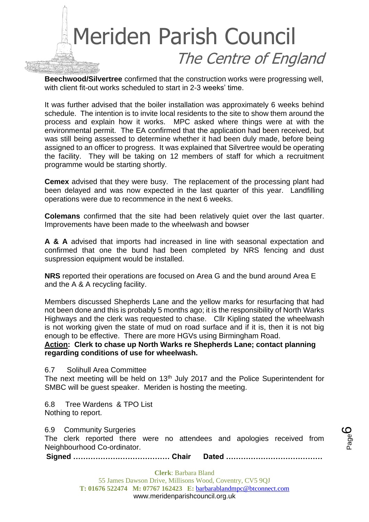

**Beechwood/Silvertree** confirmed that the construction works were progressing well, with client fit-out works scheduled to start in 2-3 weeks' time.

It was further advised that the boiler installation was approximately 6 weeks behind schedule. The intention is to invite local residents to the site to show them around the process and explain how it works. MPC asked where things were at with the environmental permit. The EA confirmed that the application had been received, but was still being assessed to determine whether it had been duly made, before being assigned to an officer to progress. It was explained that Silvertree would be operating the facility. They will be taking on 12 members of staff for which a recruitment programme would be starting shortly.

**Cemex** advised that they were busy. The replacement of the processing plant had been delayed and was now expected in the last quarter of this year. Landfilling operations were due to recommence in the next 6 weeks.

**Colemans** confirmed that the site had been relatively quiet over the last quarter. Improvements have been made to the wheelwash and bowser

**A & A** advised that imports had increased in line with seasonal expectation and confirmed that one the bund had been completed by NRS fencing and dust suspression equipment would be installed.

**NRS** reported their operations are focused on Area G and the bund around Area E and the A & A recycling facility.

Members discussed Shepherds Lane and the yellow marks for resurfacing that had not been done and this is probably 5 months ago; it is the responsibility of North Warks Highways and the clerk was requested to chase. Cllr Kipling stated the wheelwash is not working given the state of mud on road surface and if it is, then it is not big enough to be effective. There are more HGVs using Birmingham Road.

**Action: Clerk to chase up North Warks re Shepherds Lane; contact planning regarding conditions of use for wheelwash.**

6.7 Solihull Area Committee

The next meeting will be held on 13<sup>th</sup> July 2017 and the Police Superintendent for SMBC will be guest speaker. Meriden is hosting the meeting.

6.8 Tree Wardens & TPO List Nothing to report.

6.9 Community Surgeries

The clerk reported there were no attendees and apologies received from Neighbourhood Co-ordinator.

**Signed ………………………………… Chair Dated …………………………………**

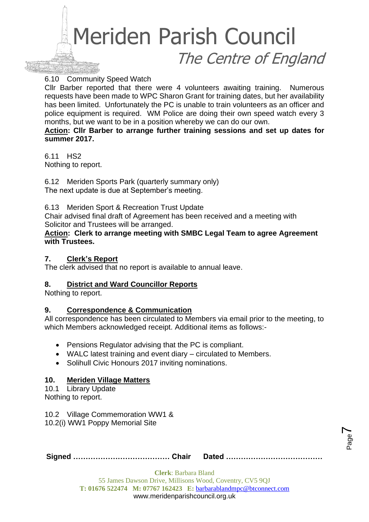

6.10 Community Speed Watch

Cllr Barber reported that there were 4 volunteers awaiting training. Numerous requests have been made to WPC Sharon Grant for training dates, but her availability has been limited. Unfortunately the PC is unable to train volunteers as an officer and police equipment is required. WM Police are doing their own speed watch every 3 months, but we want to be in a position whereby we can do our own.

**Action: Cllr Barber to arrange further training sessions and set up dates for summer 2017.**

6.11 HS2 Nothing to report.

6.12 Meriden Sports Park (quarterly summary only) The next update is due at September's meeting.

6.13 Meriden Sport & Recreation Trust Update

Chair advised final draft of Agreement has been received and a meeting with Solicitor and Trustees will be arranged.

**Action: Clerk to arrange meeting with SMBC Legal Team to agree Agreement with Trustees.**

#### **7. Clerk's Report**

The clerk advised that no report is available to annual leave.

#### **8. District and Ward Councillor Reports**

Nothing to report.

#### **9. Correspondence & Communication**

All correspondence has been circulated to Members via email prior to the meeting, to which Members acknowledged receipt. Additional items as follows:-

- Pensions Regulator advising that the PC is compliant.
- WALC latest training and event diary circulated to Members.
- Solihull Civic Honours 2017 inviting nominations.

#### **10. Meriden Village Matters**

10.1 Library Update Nothing to report.

10.2 Village Commemoration WW1 & 10.2(i) WW1 Poppy Memorial Site

|--|--|

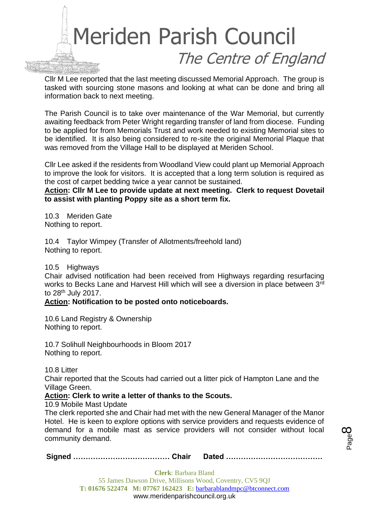

Cllr M Lee reported that the last meeting discussed Memorial Approach. The group is tasked with sourcing stone masons and looking at what can be done and bring all information back to next meeting.

The Parish Council is to take over maintenance of the War Memorial, but currently awaiting feedback from Peter Wright regarding transfer of land from diocese. Funding to be applied for from Memorials Trust and work needed to existing Memorial sites to be identified. It is also being considered to re-site the original Memorial Plaque that was removed from the Village Hall to be displayed at Meriden School.

Cllr Lee asked if the residents from Woodland View could plant up Memorial Approach to improve the look for visitors. It is accepted that a long term solution is required as the cost of carpet bedding twice a year cannot be sustained.

**Action: Cllr M Lee to provide update at next meeting. Clerk to request Dovetail to assist with planting Poppy site as a short term fix.**

10.3 Meriden Gate Nothing to report.

10.4 Taylor Wimpey (Transfer of Allotments/freehold land) Nothing to report.

10.5 Highways

Chair advised notification had been received from Highways regarding resurfacing works to Becks Lane and Harvest Hill which will see a diversion in place between 3rd to 28th July 2017.

#### **Action: Notification to be posted onto noticeboards.**

10.6 Land Registry & Ownership Nothing to report.

10.7 Solihull Neighbourhoods in Bloom 2017 Nothing to report.

10.8 Litter

Chair reported that the Scouts had carried out a litter pick of Hampton Lane and the Village Green.

#### **Action: Clerk to write a letter of thanks to the Scouts.**

10.9 Mobile Mast Update

The clerk reported she and Chair had met with the new General Manager of the Manor Hotel. He is keen to explore options with service providers and requests evidence of demand for a mobile mast as service providers will not consider without local community demand.

```
Signed ………………………………… Chair Dated …………………………………
```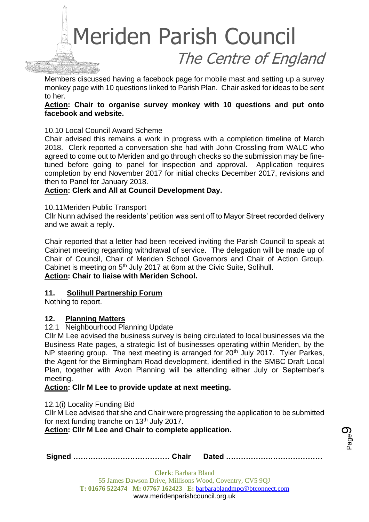

Members discussed having a facebook page for mobile mast and setting up a survey monkey page with 10 questions linked to Parish Plan. Chair asked for ideas to be sent to her.

#### **Action: Chair to organise survey monkey with 10 questions and put onto facebook and website.**

10.10 Local Council Award Scheme

Chair advised this remains a work in progress with a completion timeline of March 2018. Clerk reported a conversation she had with John Crossling from WALC who agreed to come out to Meriden and go through checks so the submission may be finetuned before going to panel for inspection and approval. Application requires completion by end November 2017 for initial checks December 2017, revisions and then to Panel for January 2018.

## **Action: Clerk and All at Council Development Day.**

#### 10.11Meriden Public Transport

Cllr Nunn advised the residents' petition was sent off to Mayor Street recorded delivery and we await a reply.

Chair reported that a letter had been received inviting the Parish Council to speak at Cabinet meeting regarding withdrawal of service. The delegation will be made up of Chair of Council, Chair of Meriden School Governors and Chair of Action Group. Cabinet is meeting on 5<sup>th</sup> July 2017 at 6pm at the Civic Suite, Solihull. **Action: Chair to liaise with Meriden School.**

#### **11. Solihull Partnership Forum**

Nothing to report.

#### **12. Planning Matters**

#### 12.1 Neighbourhood Planning Update

Cllr M Lee advised the business survey is being circulated to local businesses via the Business Rate pages, a strategic list of businesses operating within Meriden, by the NP steering group. The next meeting is arranged for 20<sup>th</sup> July 2017. Tyler Parkes, the Agent for the Birmingham Road development, identified in the SMBC Draft Local Plan, together with Avon Planning will be attending either July or September's meeting.

#### **Action: Cllr M Lee to provide update at next meeting.**

12.1(i) Locality Funding Bid

Cllr M Lee advised that she and Chair were progressing the application to be submitted for next funding tranche on 13<sup>th</sup> July 2017.

#### **Action: Cllr M Lee and Chair to complete application.**

|--|--|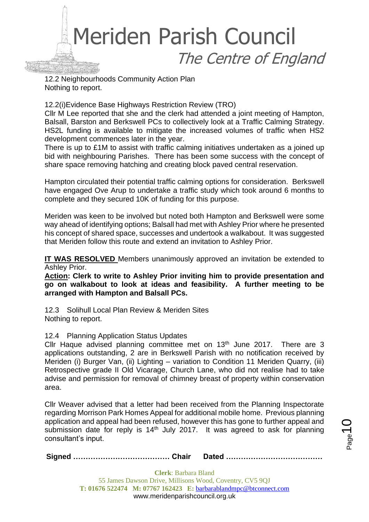

12.2 Neighbourhoods Community Action Plan Nothing to report.

12.2(i)Evidence Base Highways Restriction Review (TRO)

Cllr M Lee reported that she and the clerk had attended a joint meeting of Hampton, Balsall, Barston and Berkswell PCs to collectively look at a Traffic Calming Strategy. HS2L funding is available to mitigate the increased volumes of traffic when HS2 development commences later in the year.

There is up to £1M to assist with traffic calming initiatives undertaken as a joined up bid with neighbouring Parishes. There has been some success with the concept of share space removing hatching and creating block paved central reservation.

Hampton circulated their potential traffic calming options for consideration. Berkswell have engaged Ove Arup to undertake a traffic study which took around 6 months to complete and they secured 10K of funding for this purpose.

Meriden was keen to be involved but noted both Hampton and Berkswell were some way ahead of identifying options; Balsall had met with Ashley Prior where he presented his concept of shared space, successes and undertook a walkabout. It was suggested that Meriden follow this route and extend an invitation to Ashley Prior.

**IT WAS RESOLVED** Members unanimously approved an invitation be extended to Ashley Prior.

**Action: Clerk to write to Ashley Prior inviting him to provide presentation and go on walkabout to look at ideas and feasibility. A further meeting to be arranged with Hampton and Balsall PCs.**

12.3 Solihull Local Plan Review & Meriden Sites Nothing to report.

12.4 Planning Application Status Updates

Cllr Haque advised planning committee met on  $13<sup>th</sup>$  June 2017. There are 3 applications outstanding, 2 are in Berkswell Parish with no notification received by Meriden (i) Burger Van, (ii) Lighting – variation to Condition 11 Meriden Quarry, (iii) Retrospective grade II Old Vicarage, Church Lane, who did not realise had to take advise and permission for removal of chimney breast of property within conservation area.

Cllr Weaver advised that a letter had been received from the Planning Inspectorate regarding Morrison Park Homes Appeal for additional mobile home. Previous planning application and appeal had been refused, however this has gone to further appeal and submission date for reply is  $14<sup>th</sup>$  July 2017. It was agreed to ask for planning consultant's input.

**Signed ………………………………… Chair Dated …………………………………**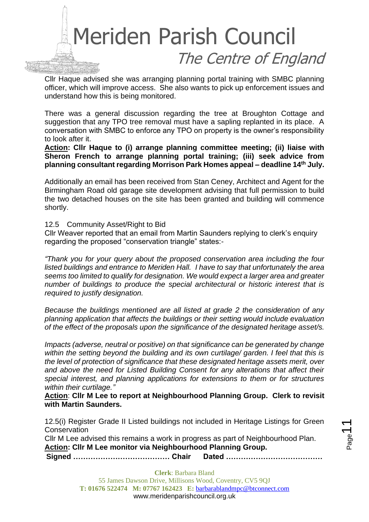

Cllr Haque advised she was arranging planning portal training with SMBC planning officer, which will improve access. She also wants to pick up enforcement issues and understand how this is being monitored.

There was a general discussion regarding the tree at Broughton Cottage and suggestion that any TPO tree removal must have a sapling replanted in its place. A conversation with SMBC to enforce any TPO on property is the owner's responsibility to look after it.

**Action: Cllr Haque to (i) arrange planning committee meeting; (ii) liaise with Sheron French to arrange planning portal training; (iii) seek advice from planning consultant regarding Morrison Park Homes appeal – deadline 14th July.**

Additionally an email has been received from Stan Ceney, Architect and Agent for the Birmingham Road old garage site development advising that full permission to build the two detached houses on the site has been granted and building will commence shortly.

12.5 Community Asset/Right to Bid

Cllr Weaver reported that an email from Martin Saunders replying to clerk's enquiry regarding the proposed "conservation triangle" states:-

*"Thank you for your query about the proposed conservation area including the four listed buildings and entrance to Meriden Hall. I have to say that unfortunately the area seems too limited to qualify for designation. We would expect a larger area and greater number of buildings to produce the special architectural or historic interest that is required to justify designation.* 

*Because the buildings mentioned are all listed at grade 2 the consideration of any planning application that affects the buildings or their setting would include evaluation of the effect of the proposals upon the significance of the designated heritage asset/s.* 

*Impacts (adverse, neutral or positive) on that significance can be generated by change within the setting beyond the building and its own curtilage/ garden. I feel that this is the level of protection of significance that these designated heritage assets merit, over and above the need for Listed Building Consent for any alterations that affect their special interest, and planning applications for extensions to them or for structures within their curtilage."*

**Action**: **Cllr M Lee to report at Neighbourhood Planning Group. Clerk to revisit with Martin Saunders.**

12.5(i) Register Grade II Listed buildings not included in Heritage Listings for Green **Conservation** 

Cllr M Lee advised this remains a work in progress as part of Neighbourhood Plan. **Action: Cllr M Lee monitor via Neighbourhood Planning Group.**